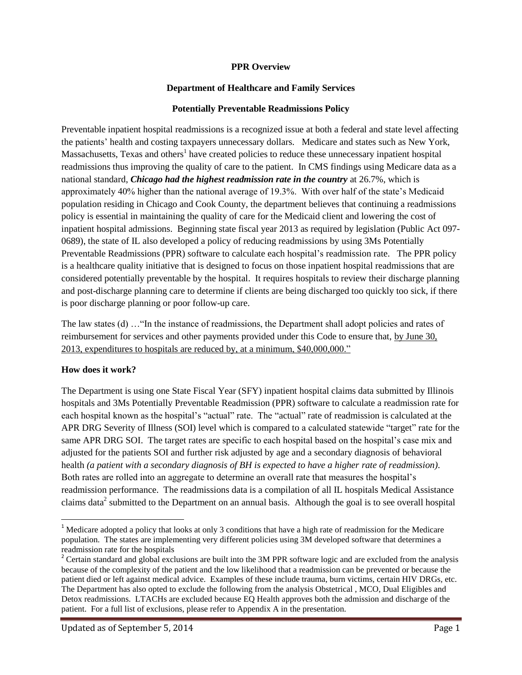#### **PPR Overview**

#### **Department of Healthcare and Family Services**

#### **Potentially Preventable Readmissions Policy**

Preventable inpatient hospital readmissions is a recognized issue at both a federal and state level affecting the patients' health and costing taxpayers unnecessary dollars. Medicare and states such as New York, Massachusetts, Texas and others<sup>1</sup> have created policies to reduce these unnecessary inpatient hospital readmissions thus improving the quality of care to the patient. In CMS findings using Medicare data as a national standard, *Chicago had the highest readmission rate in the country* at 26.7%, which is approximately 40% higher than the national average of 19.3%. With over half of the state's Medicaid population residing in Chicago and Cook County, the department believes that continuing a readmissions policy is essential in maintaining the quality of care for the Medicaid client and lowering the cost of inpatient hospital admissions. Beginning state fiscal year 2013 as required by legislation (Public Act 097- 0689), the state of IL also developed a policy of reducing readmissions by using 3Ms Potentially Preventable Readmissions (PPR) software to calculate each hospital's readmission rate. The PPR policy is a healthcare quality initiative that is designed to focus on those inpatient hospital readmissions that are considered potentially preventable by the hospital. It requires hospitals to review their discharge planning and post-discharge planning care to determine if clients are being discharged too quickly too sick, if there is poor discharge planning or poor follow-up care.

The law states (d) …"In the instance of readmissions, the Department shall adopt policies and rates of reimbursement for services and other payments provided under this Code to ensure that, by June 30, 2013, expenditures to hospitals are reduced by, at a minimum, \$40,000,000."

#### **How does it work?**

 $\overline{\phantom{a}}$ 

The Department is using one State Fiscal Year (SFY) inpatient hospital claims data submitted by Illinois hospitals and 3Ms Potentially Preventable Readmission (PPR) software to calculate a readmission rate for each hospital known as the hospital's "actual" rate. The "actual" rate of readmission is calculated at the APR DRG Severity of Illness (SOI) level which is compared to a calculated statewide "target" rate for the same APR DRG SOI. The target rates are specific to each hospital based on the hospital's case mix and adjusted for the patients SOI and further risk adjusted by age and a secondary diagnosis of behavioral health *(a patient with a secondary diagnosis of BH is expected to have a higher rate of readmission)*. Both rates are rolled into an aggregate to determine an overall rate that measures the hospital's readmission performance. The readmissions data is a compilation of all IL hospitals Medical Assistance claims data<sup>2</sup> submitted to the Department on an annual basis. Although the goal is to see overall hospital

 $1$  Medicare adopted a policy that looks at only 3 conditions that have a high rate of readmission for the Medicare population. The states are implementing very different policies using 3M developed software that determines a readmission rate for the hospitals

<sup>&</sup>lt;sup>2</sup> Certain standard and global exclusions are built into the 3M PPR software logic and are excluded from the analysis because of the complexity of the patient and the low likelihood that a readmission can be prevented or because the patient died or left against medical advice. Examples of these include trauma, burn victims, certain HIV DRGs, etc. The Department has also opted to exclude the following from the analysis Obstetrical , MCO, Dual Eligibles and Detox readmissions. LTACHs are excluded because EQ Health approves both the admission and discharge of the patient. For a full list of exclusions, please refer to Appendix A in the presentation.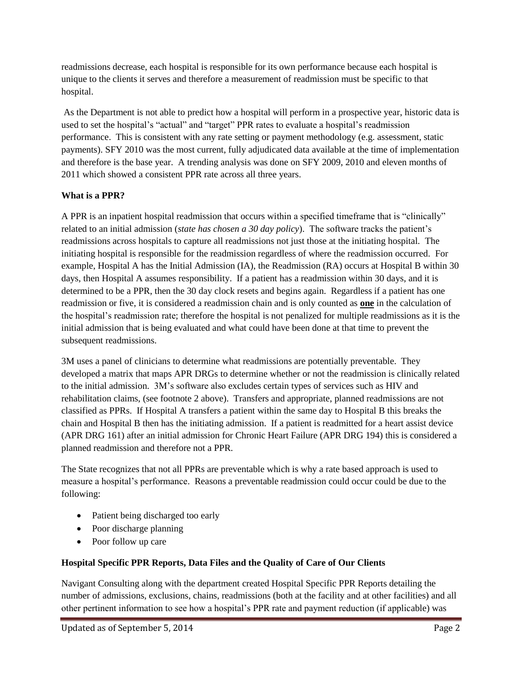readmissions decrease, each hospital is responsible for its own performance because each hospital is unique to the clients it serves and therefore a measurement of readmission must be specific to that hospital.

As the Department is not able to predict how a hospital will perform in a prospective year, historic data is used to set the hospital's "actual" and "target" PPR rates to evaluate a hospital's readmission performance. This is consistent with any rate setting or payment methodology (e.g. assessment, static payments). SFY 2010 was the most current, fully adjudicated data available at the time of implementation and therefore is the base year. A trending analysis was done on SFY 2009, 2010 and eleven months of 2011 which showed a consistent PPR rate across all three years.

# **What is a PPR?**

A PPR is an inpatient hospital readmission that occurs within a specified timeframe that is "clinically" related to an initial admission (*state has chosen a 30 day policy*). The software tracks the patient's readmissions across hospitals to capture all readmissions not just those at the initiating hospital. The initiating hospital is responsible for the readmission regardless of where the readmission occurred. For example, Hospital A has the Initial Admission (IA), the Readmission (RA) occurs at Hospital B within 30 days, then Hospital A assumes responsibility. If a patient has a readmission within 30 days, and it is determined to be a PPR, then the 30 day clock resets and begins again. Regardless if a patient has one readmission or five, it is considered a readmission chain and is only counted as **one** in the calculation of the hospital's readmission rate; therefore the hospital is not penalized for multiple readmissions as it is the initial admission that is being evaluated and what could have been done at that time to prevent the subsequent readmissions.

3M uses a panel of clinicians to determine what readmissions are potentially preventable. They developed a matrix that maps APR DRGs to determine whether or not the readmission is clinically related to the initial admission. 3M's software also excludes certain types of services such as HIV and rehabilitation claims, (see footnote 2 above). Transfers and appropriate, planned readmissions are not classified as PPRs. If Hospital A transfers a patient within the same day to Hospital B this breaks the chain and Hospital B then has the initiating admission. If a patient is readmitted for a heart assist device (APR DRG 161) after an initial admission for Chronic Heart Failure (APR DRG 194) this is considered a planned readmission and therefore not a PPR.

The State recognizes that not all PPRs are preventable which is why a rate based approach is used to measure a hospital's performance. Reasons a preventable readmission could occur could be due to the following:

- Patient being discharged too early
- Poor discharge planning
- Poor follow up care

# **Hospital Specific PPR Reports, Data Files and the Quality of Care of Our Clients**

Navigant Consulting along with the department created Hospital Specific PPR Reports detailing the number of admissions, exclusions, chains, readmissions (both at the facility and at other facilities) and all other pertinent information to see how a hospital's PPR rate and payment reduction (if applicable) was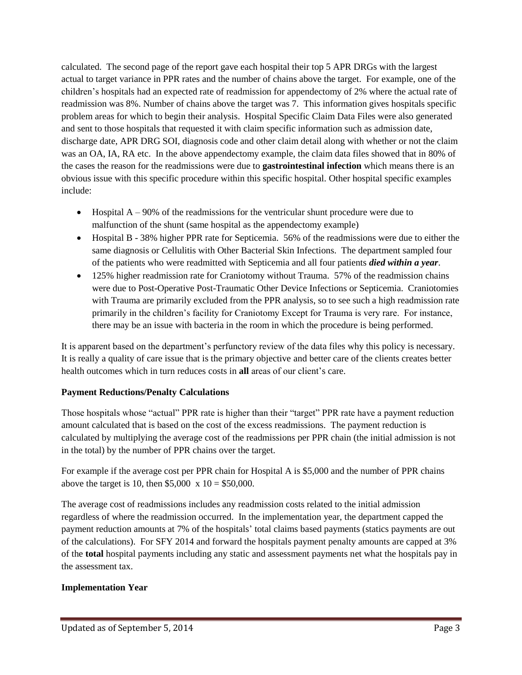calculated. The second page of the report gave each hospital their top 5 APR DRGs with the largest actual to target variance in PPR rates and the number of chains above the target. For example, one of the children's hospitals had an expected rate of readmission for appendectomy of 2% where the actual rate of readmission was 8%. Number of chains above the target was 7. This information gives hospitals specific problem areas for which to begin their analysis. Hospital Specific Claim Data Files were also generated and sent to those hospitals that requested it with claim specific information such as admission date, discharge date, APR DRG SOI, diagnosis code and other claim detail along with whether or not the claim was an OA, IA, RA etc. In the above appendectomy example, the claim data files showed that in 80% of the cases the reason for the readmissions were due to **gastrointestinal infection** which means there is an obvious issue with this specific procedure within this specific hospital. Other hospital specific examples include:

- $\bullet$  Hospital A 90% of the readmissions for the ventricular shunt procedure were due to malfunction of the shunt (same hospital as the appendectomy example)
- Hospital B 38% higher PPR rate for Septicemia. 56% of the readmissions were due to either the same diagnosis or Cellulitis with Other Bacterial Skin Infections. The department sampled four of the patients who were readmitted with Septicemia and all four patients *died within a year*.
- 125% higher readmission rate for Craniotomy without Trauma. 57% of the readmission chains were due to Post-Operative Post-Traumatic Other Device Infections or Septicemia. Craniotomies with Trauma are primarily excluded from the PPR analysis, so to see such a high readmission rate primarily in the children's facility for Craniotomy Except for Trauma is very rare. For instance, there may be an issue with bacteria in the room in which the procedure is being performed.

It is apparent based on the department's perfunctory review of the data files why this policy is necessary. It is really a quality of care issue that is the primary objective and better care of the clients creates better health outcomes which in turn reduces costs in **all** areas of our client's care.

# **Payment Reductions/Penalty Calculations**

Those hospitals whose "actual" PPR rate is higher than their "target" PPR rate have a payment reduction amount calculated that is based on the cost of the excess readmissions. The payment reduction is calculated by multiplying the average cost of the readmissions per PPR chain (the initial admission is not in the total) by the number of PPR chains over the target.

For example if the average cost per PPR chain for Hospital A is \$5,000 and the number of PPR chains above the target is 10, then  $$5,000 \times 10 = $50,000$ .

The average cost of readmissions includes any readmission costs related to the initial admission regardless of where the readmission occurred. In the implementation year, the department capped the payment reduction amounts at 7% of the hospitals' total claims based payments (statics payments are out of the calculations). For SFY 2014 and forward the hospitals payment penalty amounts are capped at 3% of the **total** hospital payments including any static and assessment payments net what the hospitals pay in the assessment tax.

## **Implementation Year**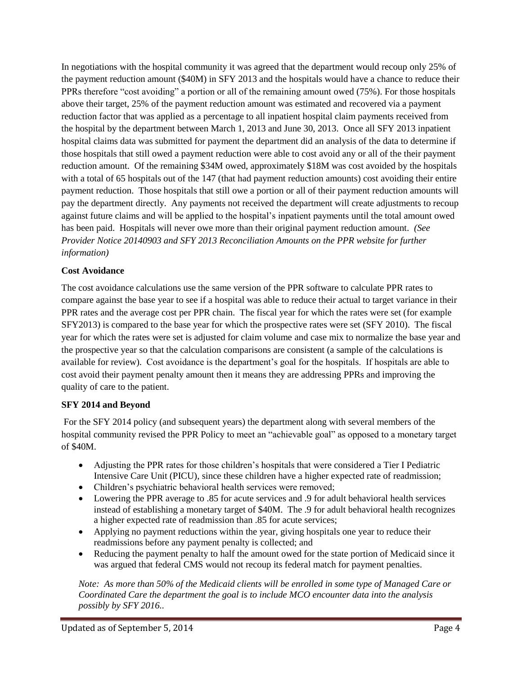In negotiations with the hospital community it was agreed that the department would recoup only 25% of the payment reduction amount (\$40M) in SFY 2013 and the hospitals would have a chance to reduce their PPRs therefore "cost avoiding" a portion or all of the remaining amount owed (75%). For those hospitals above their target, 25% of the payment reduction amount was estimated and recovered via a payment reduction factor that was applied as a percentage to all inpatient hospital claim payments received from the hospital by the department between March 1, 2013 and June 30, 2013. Once all SFY 2013 inpatient hospital claims data was submitted for payment the department did an analysis of the data to determine if those hospitals that still owed a payment reduction were able to cost avoid any or all of the their payment reduction amount. Of the remaining \$34M owed, approximately \$18M was cost avoided by the hospitals with a total of 65 hospitals out of the 147 (that had payment reduction amounts) cost avoiding their entire payment reduction. Those hospitals that still owe a portion or all of their payment reduction amounts will pay the department directly. Any payments not received the department will create adjustments to recoup against future claims and will be applied to the hospital's inpatient payments until the total amount owed has been paid. Hospitals will never owe more than their original payment reduction amount. *(See Provider Notice 20140903 and SFY 2013 Reconciliation Amounts on the PPR website for further information)*

## **Cost Avoidance**

The cost avoidance calculations use the same version of the PPR software to calculate PPR rates to compare against the base year to see if a hospital was able to reduce their actual to target variance in their PPR rates and the average cost per PPR chain. The fiscal year for which the rates were set (for example SFY2013) is compared to the base year for which the prospective rates were set (SFY 2010). The fiscal year for which the rates were set is adjusted for claim volume and case mix to normalize the base year and the prospective year so that the calculation comparisons are consistent (a sample of the calculations is available for review). Cost avoidance is the department's goal for the hospitals. If hospitals are able to cost avoid their payment penalty amount then it means they are addressing PPRs and improving the quality of care to the patient.

## **SFY 2014 and Beyond**

For the SFY 2014 policy (and subsequent years) the department along with several members of the hospital community revised the PPR Policy to meet an "achievable goal" as opposed to a monetary target of \$40M.

- Adjusting the PPR rates for those children's hospitals that were considered a Tier I Pediatric Intensive Care Unit (PICU), since these children have a higher expected rate of readmission;
- Children's psychiatric behavioral health services were removed;
- Lowering the PPR average to .85 for acute services and .9 for adult behavioral health services instead of establishing a monetary target of \$40M. The .9 for adult behavioral health recognizes a higher expected rate of readmission than .85 for acute services;
- Applying no payment reductions within the year, giving hospitals one year to reduce their readmissions before any payment penalty is collected; and
- Reducing the payment penalty to half the amount owed for the state portion of Medicaid since it was argued that federal CMS would not recoup its federal match for payment penalties.

*Note: As more than 50% of the Medicaid clients will be enrolled in some type of Managed Care or Coordinated Care the department the goal is to include MCO encounter data into the analysis possibly by SFY 2016..*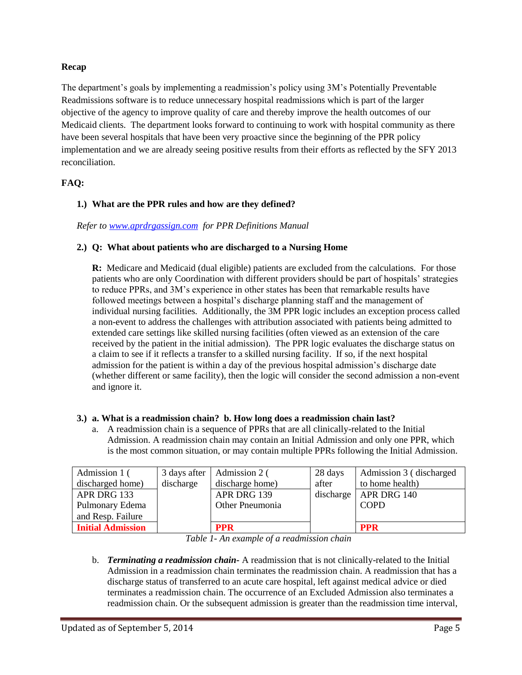## **Recap**

The department's goals by implementing a readmission's policy using 3M's Potentially Preventable Readmissions software is to reduce unnecessary hospital readmissions which is part of the larger objective of the agency to improve quality of care and thereby improve the health outcomes of our Medicaid clients. The department looks forward to continuing to work with hospital community as there have been several hospitals that have been very proactive since the beginning of the PPR policy implementation and we are already seeing positive results from their efforts as reflected by the SFY 2013 reconciliation.

# **FAQ:**

## **1.) What are the PPR rules and how are they defined?**

*Refer to [www.aprdrgassign.com](http://www.aprdrgassign.com/) for PPR Definitions Manual* 

## **2.) Q: What about patients who are discharged to a Nursing Home**

**R:** Medicare and Medicaid (dual eligible) patients are excluded from the calculations. For those patients who are only Coordination with different providers should be part of hospitals' strategies to reduce PPRs, and 3M's experience in other states has been that remarkable results have followed meetings between a hospital's discharge planning staff and the management of individual nursing facilities. Additionally, the 3M PPR logic includes an exception process called a non-event to address the challenges with attribution associated with patients being admitted to extended care settings like skilled nursing facilities (often viewed as an extension of the care received by the patient in the initial admission). The PPR logic evaluates the discharge status on a claim to see if it reflects a transfer to a skilled nursing facility. If so, if the next hospital admission for the patient is within a day of the previous hospital admission's discharge date (whether different or same facility), then the logic will consider the second admission a non-event and ignore it.

## **3.) a. What is a readmission chain? b. How long does a readmission chain last?**

a. A readmission chain is a sequence of PPRs that are all clinically-related to the Initial Admission. A readmission chain may contain an Initial Admission and only one PPR, which is the most common situation, or may contain multiple PPRs following the Initial Admission.

| Admission 1 (            | 3 days after | Admission 2 (   | 28 days   | Admission 3 (discharged |
|--------------------------|--------------|-----------------|-----------|-------------------------|
| discharged home)         | discharge    | discharge home) | after     | to home health)         |
| APR DRG 133              |              | APR DRG 139     | discharge | APR DRG 140             |
| Pulmonary Edema          |              | Other Pneumonia |           | <b>COPD</b>             |
| and Resp. Failure        |              |                 |           |                         |
| <b>Initial Admission</b> |              | <b>PPR</b>      |           | <b>PPR</b>              |

*Table 1- An example of a readmission chain*

b. *Terminating a readmission chain-* A readmission that is not clinically-related to the Initial Admission in a readmission chain terminates the readmission chain. A readmission that has a discharge status of transferred to an acute care hospital, left against medical advice or died terminates a readmission chain. The occurrence of an Excluded Admission also terminates a readmission chain. Or the subsequent admission is greater than the readmission time interval,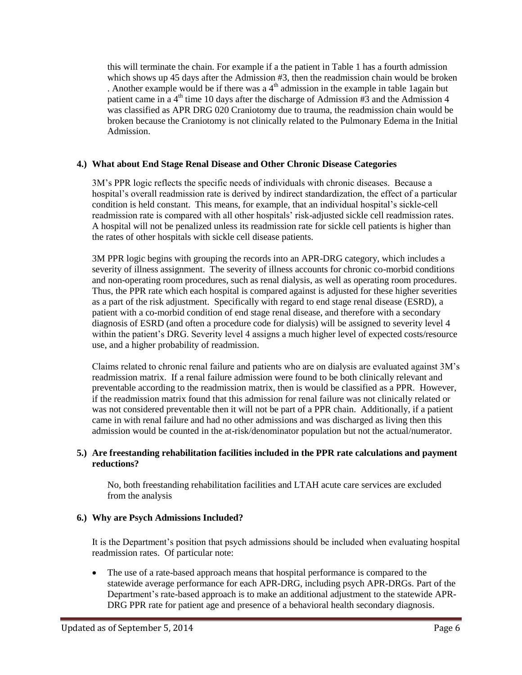this will terminate the chain. For example if a the patient in Table 1 has a fourth admission which shows up 45 days after the Admission #3, then the readmission chain would be broken . Another example would be if there was a  $4<sup>th</sup>$  admission in the example in table 1again but patient came in a  $4<sup>th</sup>$  time 10 days after the discharge of Admission #3 and the Admission 4 was classified as APR DRG 020 Craniotomy due to trauma, the readmission chain would be broken because the Craniotomy is not clinically related to the Pulmonary Edema in the Initial Admission.

#### **4.) What about End Stage Renal Disease and Other Chronic Disease Categories**

3M's PPR logic reflects the specific needs of individuals with chronic diseases. Because a hospital's overall readmission rate is derived by indirect standardization, the effect of a particular condition is held constant. This means, for example, that an individual hospital's sickle-cell readmission rate is compared with all other hospitals' risk-adjusted sickle cell readmission rates. A hospital will not be penalized unless its readmission rate for sickle cell patients is higher than the rates of other hospitals with sickle cell disease patients.

3M PPR logic begins with grouping the records into an APR-DRG category, which includes a severity of illness assignment. The severity of illness accounts for chronic co-morbid conditions and non-operating room procedures, such as renal dialysis, as well as operating room procedures. Thus, the PPR rate which each hospital is compared against is adjusted for these higher severities as a part of the risk adjustment. Specifically with regard to end stage renal disease (ESRD), a patient with a co-morbid condition of end stage renal disease, and therefore with a secondary diagnosis of ESRD (and often a procedure code for dialysis) will be assigned to severity level 4 within the patient's DRG. Severity level 4 assigns a much higher level of expected costs/resource use, and a higher probability of readmission.

Claims related to chronic renal failure and patients who are on dialysis are evaluated against 3M's readmission matrix. If a renal failure admission were found to be both clinically relevant and preventable according to the readmission matrix, then is would be classified as a PPR. However, if the readmission matrix found that this admission for renal failure was not clinically related or was not considered preventable then it will not be part of a PPR chain. Additionally, if a patient came in with renal failure and had no other admissions and was discharged as living then this admission would be counted in the at-risk/denominator population but not the actual/numerator.

#### **5.) Are freestanding rehabilitation facilities included in the PPR rate calculations and payment reductions?**

No, both freestanding rehabilitation facilities and LTAH acute care services are excluded from the analysis

## **6.) Why are Psych Admissions Included?**

It is the Department's position that psych admissions should be included when evaluating hospital readmission rates. Of particular note:

 The use of a rate-based approach means that hospital performance is compared to the statewide average performance for each APR-DRG, including psych APR-DRGs. Part of the Department's rate-based approach is to make an additional adjustment to the statewide APR-DRG PPR rate for patient age and presence of a behavioral health secondary diagnosis.